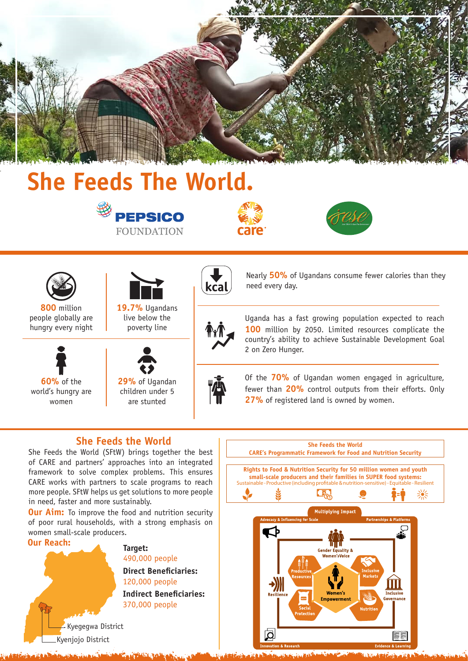

# **She Feeds The World.**









**800** million people globally are hungry every night



**19.7%** Ugandans live below the poverty line



**60%** of the world's hungry are women



**29%** of Ugandan children under 5 are stunted





Nearly **50%** of Ugandans consume fewer calories than they need every day.

Uganda has a fast growing population expected to reach **100** million by 2050. Limited resources complicate the country's ability to achieve Sustainable Development Goal 2 on Zero Hunger.

Of the **70%** of Ugandan women engaged in agriculture, fewer than **20%** control outputs from their efforts. Only 27% of registered land is owned by women.

## **She Feeds the World**

She Feeds the World (SFtW) brings together the best of CARE and partners' approaches into an integrated framework to solve complex problems. This ensures CARE works with partners to scale programs to reach more people. SFtW helps us get solutions to more people in need, faster and more sustainably.

**Our Aim:** To improve the food and nutrition security of poor rural households, with a strong emphasis on women small-scale producers.